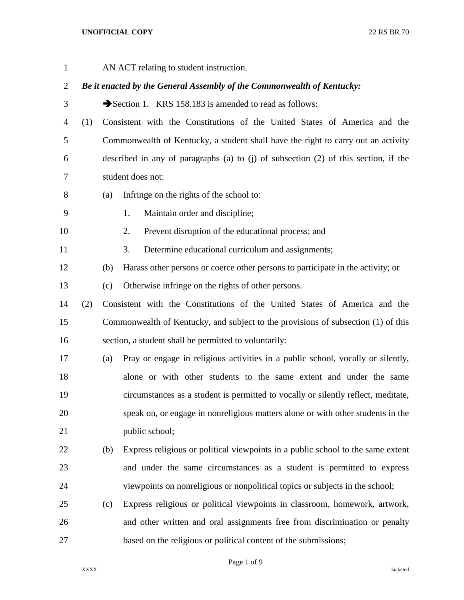| $\mathbf{1}$   |     |     | AN ACT relating to student instruction.                                               |  |  |  |
|----------------|-----|-----|---------------------------------------------------------------------------------------|--|--|--|
| $\overline{2}$ |     |     | Be it enacted by the General Assembly of the Commonwealth of Kentucky:                |  |  |  |
| 3              |     |     | Section 1. KRS 158.183 is amended to read as follows:                                 |  |  |  |
| 4              | (1) |     | Consistent with the Constitutions of the United States of America and the             |  |  |  |
| 5              |     |     | Commonwealth of Kentucky, a student shall have the right to carry out an activity     |  |  |  |
| 6              |     |     | described in any of paragraphs (a) to (j) of subsection $(2)$ of this section, if the |  |  |  |
| 7              |     |     | student does not:                                                                     |  |  |  |
| 8              |     | (a) | Infringe on the rights of the school to:                                              |  |  |  |
| 9              |     |     | Maintain order and discipline;<br>1.                                                  |  |  |  |
| 10             |     |     | Prevent disruption of the educational process; and<br>2.                              |  |  |  |
| 11             |     |     | 3.<br>Determine educational curriculum and assignments;                               |  |  |  |
| 12             |     | (b) | Harass other persons or coerce other persons to participate in the activity; or       |  |  |  |
| 13             |     | (c) | Otherwise infringe on the rights of other persons.                                    |  |  |  |
| 14             | (2) |     | Consistent with the Constitutions of the United States of America and the             |  |  |  |
| 15             |     |     | Commonwealth of Kentucky, and subject to the provisions of subsection (1) of this     |  |  |  |
| 16             |     |     | section, a student shall be permitted to voluntarily:                                 |  |  |  |
| 17             |     | (a) | Pray or engage in religious activities in a public school, vocally or silently,       |  |  |  |
| 18             |     |     | alone or with other students to the same extent and under the same                    |  |  |  |
| 19             |     |     | circumstances as a student is permitted to vocally or silently reflect, meditate,     |  |  |  |
| 20             |     |     | speak on, or engage in nonreligious matters alone or with other students in the       |  |  |  |
| 21             |     |     | public school;                                                                        |  |  |  |
| 22             |     | (b) | Express religious or political viewpoints in a public school to the same extent       |  |  |  |
| 23             |     |     | and under the same circumstances as a student is permitted to express                 |  |  |  |
| 24             |     |     | viewpoints on nonreligious or nonpolitical topics or subjects in the school;          |  |  |  |
| 25             |     | (c) | Express religious or political viewpoints in classroom, homework, artwork,            |  |  |  |
| 26             |     |     | and other written and oral assignments free from discrimination or penalty            |  |  |  |
| 27             |     |     | based on the religious or political content of the submissions;                       |  |  |  |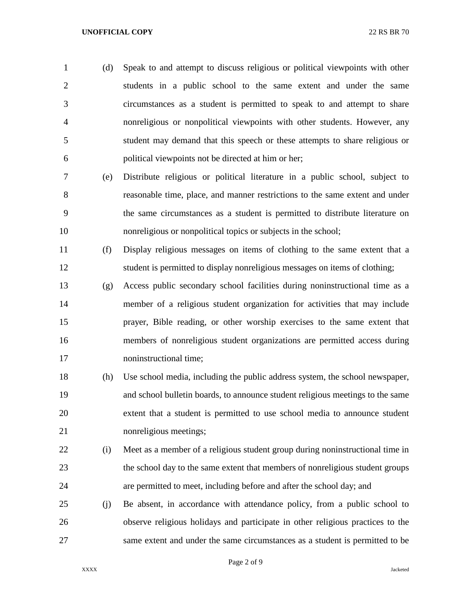- (d) Speak to and attempt to discuss religious or political viewpoints with other students in a public school to the same extent and under the same circumstances as a student is permitted to speak to and attempt to share nonreligious or nonpolitical viewpoints with other students. However, any student may demand that this speech or these attempts to share religious or political viewpoints not be directed at him or her;
- (e) Distribute religious or political literature in a public school, subject to reasonable time, place, and manner restrictions to the same extent and under the same circumstances as a student is permitted to distribute literature on nonreligious or nonpolitical topics or subjects in the school;
- (f) Display religious messages on items of clothing to the same extent that a student is permitted to display nonreligious messages on items of clothing;
- (g) Access public secondary school facilities during noninstructional time as a member of a religious student organization for activities that may include prayer, Bible reading, or other worship exercises to the same extent that members of nonreligious student organizations are permitted access during 17 noninstructional time;
- (h) Use school media, including the public address system, the school newspaper, and school bulletin boards, to announce student religious meetings to the same extent that a student is permitted to use school media to announce student nonreligious meetings;
- (i) Meet as a member of a religious student group during noninstructional time in the school day to the same extent that members of nonreligious student groups are permitted to meet, including before and after the school day; and
- (j) Be absent, in accordance with attendance policy, from a public school to observe religious holidays and participate in other religious practices to the same extent and under the same circumstances as a student is permitted to be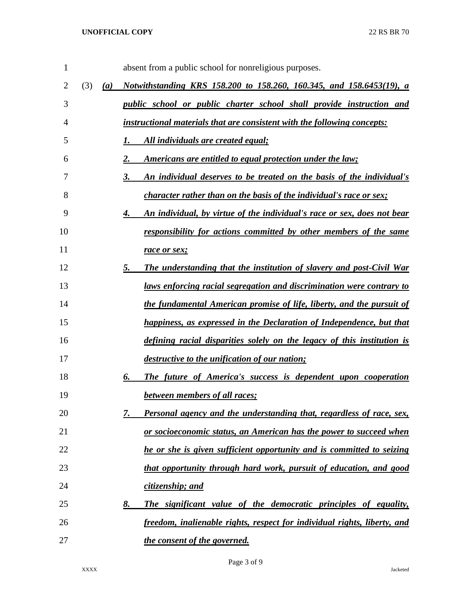| 1  |     |     | absent from a public school for nonreligious purposes.                             |
|----|-----|-----|------------------------------------------------------------------------------------|
| 2  | (3) | (a) | Notwithstanding KRS 158.200 to 158.260, 160.345, and 158.6453(19), a               |
| 3  |     |     | public school or public charter school shall provide instruction and               |
| 4  |     |     | instructional materials that are consistent with the following concepts:           |
| 5  |     |     | <u>All individuals are created equal;</u>                                          |
| 6  |     |     | Americans are entitled to equal protection under the law;<br>2.                    |
| 7  |     |     | 3.<br><u>An individual deserves to be treated on the basis of the individual's</u> |
| 8  |     |     | <u>character rather than on the basis of the individual's race or sex;</u>         |
| 9  |     |     | An individual, by virtue of the individual's race or sex, does not bear<br>4.      |
| 10 |     |     | <u>responsibility for actions committed by other members of the same</u>           |
| 11 |     |     | race or sex;                                                                       |
| 12 |     |     | The understanding that the institution of slavery and post-Civil War<br>5.         |
| 13 |     |     | <u>laws enforcing racial segregation and discrimination were contrary to</u>       |
| 14 |     |     | <u>the fundamental American promise of life, liberty, and the pursuit of</u>       |
| 15 |     |     | happiness, as expressed in the Declaration of Independence, but that               |
| 16 |     |     | <u>defining racial disparities solely on the legacy of this institution is</u>     |
| 17 |     |     | <i>destructive to the unification of our nation;</i>                               |
| 18 |     |     | The future of America's success is dependent upon cooperation<br>6.                |
| 19 |     |     | <b>between members of all races;</b>                                               |
| 20 |     |     | Personal agency and the understanding that, regardless of race, sex,<br>7.         |
| 21 |     |     | or socioeconomic status, an American has the power to succeed when                 |
| 22 |     |     | he or she is given sufficient opportunity and is committed to seizing              |
| 23 |     |     | that opportunity through hard work, pursuit of education, and good                 |
| 24 |     |     | citizenship; and                                                                   |
| 25 |     |     | 8.<br>The significant value of the democratic principles of equality,              |
| 26 |     |     | freedom, inalienable rights, respect for individual rights, liberty, and           |
| 27 |     |     | the consent of the governed.                                                       |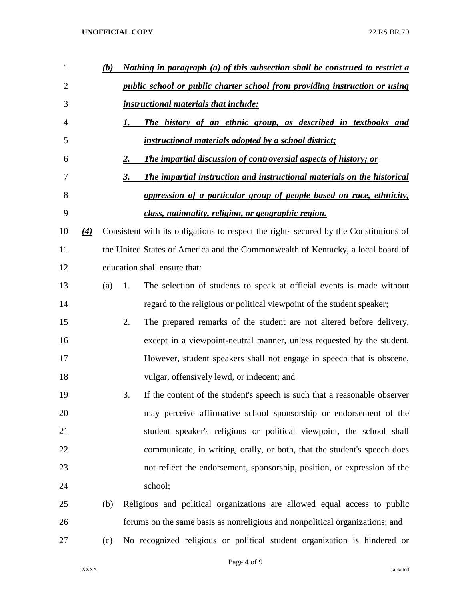| $\mathbf{1}$   |                   | (b) |    | Nothing in paragraph (a) of this subsection shall be construed to restrict a          |
|----------------|-------------------|-----|----|---------------------------------------------------------------------------------------|
| $\overline{2}$ |                   |     |    | public school or public charter school from providing instruction or using            |
| 3              |                   |     |    | <i>instructional materials that include:</i>                                          |
| 4              |                   |     | 1. | The history of an ethnic group, as described in textbooks and                         |
| 5              |                   |     |    | <i>instructional materials adopted by a school district;</i>                          |
| 6              |                   |     | 2. | The impartial discussion of controversial aspects of history; or                      |
| 7              |                   |     | 3. | The impartial instruction and instructional materials on the historical               |
| 8              |                   |     |    | oppression of a particular group of people based on race, ethnicity,                  |
| 9              |                   |     |    | class, nationality, religion, or geographic region.                                   |
| 10             | $\left( 4\right)$ |     |    | Consistent with its obligations to respect the rights secured by the Constitutions of |
| 11             |                   |     |    | the United States of America and the Commonwealth of Kentucky, a local board of       |
| 12             |                   |     |    | education shall ensure that:                                                          |
| 13             |                   | (a) | 1. | The selection of students to speak at official events is made without                 |
| 14             |                   |     |    | regard to the religious or political viewpoint of the student speaker;                |
| 15             |                   |     | 2. | The prepared remarks of the student are not altered before delivery,                  |
| 16             |                   |     |    | except in a viewpoint-neutral manner, unless requested by the student.                |
| 17             |                   |     |    | However, student speakers shall not engage in speech that is obscene,                 |
| 18             |                   |     |    | vulgar, offensively lewd, or indecent; and                                            |
| 19             |                   |     | 3. | If the content of the student's speech is such that a reasonable observer             |
| 20             |                   |     |    | may perceive affirmative school sponsorship or endorsement of the                     |
| 21             |                   |     |    | student speaker's religious or political viewpoint, the school shall                  |
| 22             |                   |     |    | communicate, in writing, orally, or both, that the student's speech does              |
| 23             |                   |     |    | not reflect the endorsement, sponsorship, position, or expression of the              |
| 24             |                   |     |    | school;                                                                               |
| 25             |                   | (b) |    | Religious and political organizations are allowed equal access to public              |
| 26             |                   |     |    | forums on the same basis as nonreligious and nonpolitical organizations; and          |
| 27             |                   | (c) |    | No recognized religious or political student organization is hindered or              |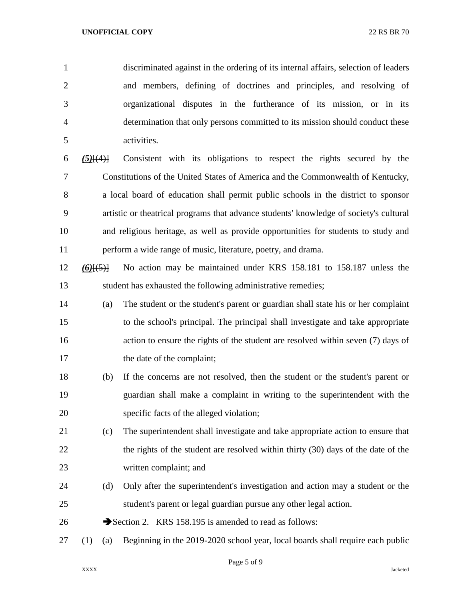discriminated against in the ordering of its internal affairs, selection of leaders and members, defining of doctrines and principles, and resolving of organizational disputes in the furtherance of its mission, or in its determination that only persons committed to its mission should conduct these activities.

 *(5)*[(4)] Consistent with its obligations to respect the rights secured by the Constitutions of the United States of America and the Commonwealth of Kentucky, a local board of education shall permit public schools in the district to sponsor artistic or theatrical programs that advance students' knowledge of society's cultural and religious heritage, as well as provide opportunities for students to study and perform a wide range of music, literature, poetry, and drama.

 *(6)*[(5)] No action may be maintained under KRS 158.181 to 158.187 unless the student has exhausted the following administrative remedies;

- (a) The student or the student's parent or guardian shall state his or her complaint to the school's principal. The principal shall investigate and take appropriate action to ensure the rights of the student are resolved within seven (7) days of 17 the date of the complaint;
- (b) If the concerns are not resolved, then the student or the student's parent or guardian shall make a complaint in writing to the superintendent with the specific facts of the alleged violation;
- (c) The superintendent shall investigate and take appropriate action to ensure that the rights of the student are resolved within thirty (30) days of the date of the written complaint; and
- (d) Only after the superintendent's investigation and action may a student or the student's parent or legal guardian pursue any other legal action.

26  $\rightarrow$  Section 2. KRS 158.195 is amended to read as follows:

(1) (a) Beginning in the 2019-2020 school year, local boards shall require each public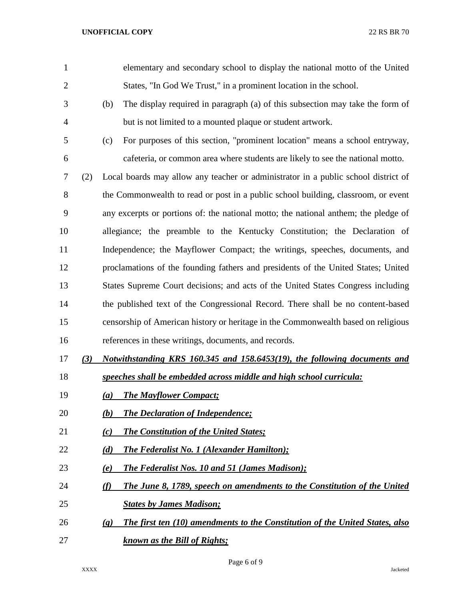elementary and secondary school to display the national motto of the United States, "In God We Trust," in a prominent location in the school. (b) The display required in paragraph (a) of this subsection may take the form of but is not limited to a mounted plaque or student artwork. (c) For purposes of this section, "prominent location" means a school entryway, cafeteria, or common area where students are likely to see the national motto. (2) Local boards may allow any teacher or administrator in a public school district of the Commonwealth to read or post in a public school building, classroom, or event any excerpts or portions of: the national motto; the national anthem; the pledge of allegiance; the preamble to the Kentucky Constitution; the Declaration of Independence; the Mayflower Compact; the writings, speeches, documents, and proclamations of the founding fathers and presidents of the United States; United States Supreme Court decisions; and acts of the United States Congress including the published text of the Congressional Record. There shall be no content-based censorship of American history or heritage in the Commonwealth based on religious references in these writings, documents, and records. *(3) Notwithstanding KRS 160.345 and 158.6453(19), the following documents and speeches shall be embedded across middle and high school curricula: (a) The Mayflower Compact; (b) The Declaration of Independence; (c) The Constitution of the United States; (d) The Federalist No. 1 (Alexander Hamilton); (e) The Federalist Nos. 10 and 51 (James Madison); (f) The June 8, 1789, speech on amendments to the Constitution of the United States by James Madison; (g) The first ten (10) amendments to the Constitution of the United States, also known as the Bill of Rights;*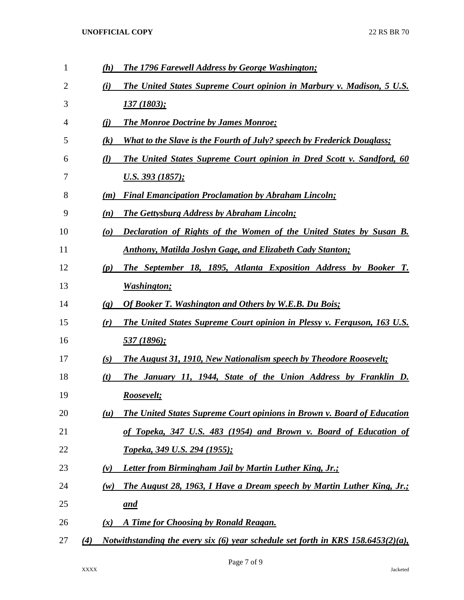| 1  | <b>The 1796 Farewell Address by George Washington;</b><br>(h)                                          |
|----|--------------------------------------------------------------------------------------------------------|
| 2  | The United States Supreme Court opinion in Marbury v. Madison, 5 U.S.<br>(i)                           |
| 3  | 137 (1803);                                                                                            |
| 4  | <b>The Monroe Doctrine by James Monroe;</b><br>(i)                                                     |
| 5  | <b>What to the Slave is the Fourth of July? speech by Frederick Douglass;</b><br>(k)                   |
| 6  | The United States Supreme Court opinion in Dred Scott v. Sandford, 60<br>(l)                           |
| 7  | <u>U.S. 393 (1857);</u>                                                                                |
| 8  | <b>Final Emancipation Proclamation by Abraham Lincoln;</b><br>(m)                                      |
| 9  | <b>The Gettysburg Address by Abraham Lincoln;</b><br>(n)                                               |
| 10 | Declaration of Rights of the Women of the United States by Susan B.<br>$\boldsymbol{\left( o \right)}$ |
| 11 | <b>Anthony, Matilda Joslyn Gage, and Elizabeth Cady Stanton;</b>                                       |
| 12 | The September 18, 1895, Atlanta Exposition Address by Booker T.<br>(p)                                 |
| 13 | <b>Washington</b> ;                                                                                    |
| 14 | <b>Of Booker T. Washington and Others by W.E.B. Du Bois;</b><br>(q)                                    |
| 15 | The United States Supreme Court opinion in Plessy v. Ferguson, 163 U.S.<br>(r)                         |
| 16 | <u>537 (1896);</u>                                                                                     |
| 17 | <b>The August 31, 1910, New Nationalism speech by Theodore Roosevelt;</b><br>$\left( s\right)$         |
| 18 | The January 11, 1944, State of the Union Address by Franklin D.<br>(t)                                 |
| 19 | Roosevelt;                                                                                             |
| 20 | The United States Supreme Court opinions in Brown v. Board of Education<br>(u)                         |
| 21 | of Topeka, 347 U.S. 483 (1954) and Brown v. Board of Education of                                      |
| 22 | <u>Topeka, 349 U.S. 294 (1955);</u>                                                                    |
| 23 | Letter from Birmingham Jail by Martin Luther King, Jr.;<br>(v)                                         |
| 24 | <b>The August 28, 1963, I Have a Dream speech by Martin Luther King, Jr.;</b><br>(w)                   |
| 25 | <u>and</u>                                                                                             |
| 26 | <b>A Time for Choosing by Ronald Reagan.</b><br>(x)                                                    |
| 27 | Notwithstanding the every six (6) year schedule set forth in KRS $158.6453(2)(a)$ ,<br>(4)             |
|    |                                                                                                        |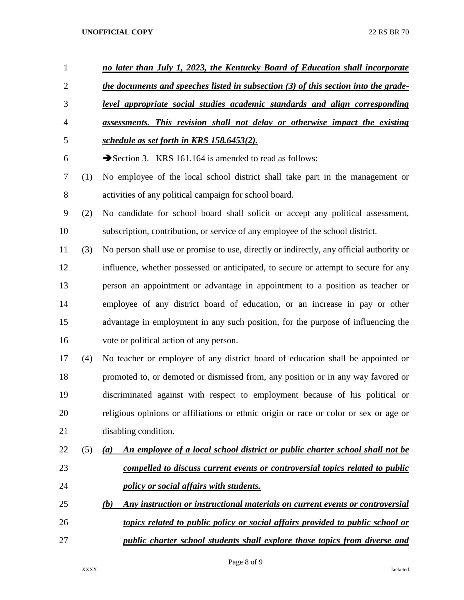| $\mathbf{1}$   |     | no later than July 1, 2023, the Kentucky Board of Education shall incorporate            |
|----------------|-----|------------------------------------------------------------------------------------------|
| $\overline{2}$ |     | the documents and speeches listed in subsection (3) of this section into the grade-      |
| 3              |     | level appropriate social studies academic standards and align corresponding              |
| $\overline{4}$ |     | assessments. This revision shall not delay or otherwise impact the existing              |
| 5              |     | <u>schedule as set forth in KRS 158.6453(2).</u>                                         |
| 6              |     | Section 3. KRS 161.164 is amended to read as follows:                                    |
| 7              | (1) | No employee of the local school district shall take part in the management or            |
| 8              |     | activities of any political campaign for school board.                                   |
| 9              | (2) | No candidate for school board shall solicit or accept any political assessment,          |
| 10             |     | subscription, contribution, or service of any employee of the school district.           |
| 11             | (3) | No person shall use or promise to use, directly or indirectly, any official authority or |
| 12             |     | influence, whether possessed or anticipated, to secure or attempt to secure for any      |
| 13             |     | person an appointment or advantage in appointment to a position as teacher or            |
| 14             |     | employee of any district board of education, or an increase in pay or other              |
| 15             |     | advantage in employment in any such position, for the purpose of influencing the         |
| 16             |     | vote or political action of any person.                                                  |
| 17             | (4) | No teacher or employee of any district board of education shall be appointed or          |
| 18             |     | promoted to, or demoted or dismissed from, any position or in any way favored or         |
| 19             |     | discriminated against with respect to employment because of his political or             |
| 20             |     | religious opinions or affiliations or ethnic origin or race or color or sex or age or    |
| 21             |     | disabling condition.                                                                     |
| 22             | (5) | An employee of a local school district or public charter school shall not be<br>(a)      |
| 23             |     | compelled to discuss current events or controversial topics related to public            |
| 24             |     | policy or social affairs with students.                                                  |
| 25             |     | Any instruction or instructional materials on current events or controversial<br>(b)     |
| 26             |     | topics related to public policy or social affairs provided to public school or           |
| 27             |     | <i>public charter school students shall explore those topics from diverse and</i>        |